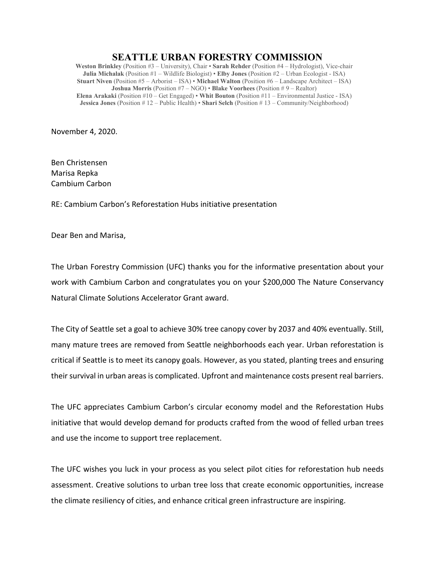## **SEATTLE URBAN FORESTRY COMMISSION**

**Weston Brinkley** (Position #3 – University), Chair • **Sarah Rehder** (Position #4 – Hydrologist), Vice-chair **Julia Michalak** (Position #1 – Wildlife Biologist) • **Elby Jones** (Position #2 – Urban Ecologist - ISA) **Stuart Niven** (Position #5 – Arborist – ISA) • **Michael Walton** (Position #6 – Landscape Architect – ISA) **Joshua Morris** (Position #7 – NGO) • **Blake Voorhees** (Position # 9 – Realtor) **Elena Arakaki** (Position #10 – Get Engaged) • **Whit Bouton** (Position #11 – Environmental Justice - ISA) **Jessica Jones** (Position # 12 – Public Health) • **Shari Selch** (Position # 13 – Community/Neighborhood)

November 4, 2020.

Ben Christensen Marisa Repka Cambium Carbon

RE: Cambium Carbon's Reforestation Hubs initiative presentation

Dear Ben and Marisa,

The Urban Forestry Commission (UFC) thanks you for the informative presentation about your work with Cambium Carbon and congratulates you on your \$200,000 The Nature Conservancy Natural Climate Solutions Accelerator Grant award.

The City of Seattle set a goal to achieve 30% tree canopy cover by 2037 and 40% eventually. Still, many mature trees are removed from Seattle neighborhoods each year. Urban reforestation is critical if Seattle is to meet its canopy goals. However, as you stated, planting trees and ensuring their survival in urban areas is complicated. Upfront and maintenance costs present real barriers.

The UFC appreciates Cambium Carbon's circular economy model and the Reforestation Hubs initiative that would develop demand for products crafted from the wood of felled urban trees and use the income to support tree replacement.

The UFC wishes you luck in your process as you select pilot cities for reforestation hub needs assessment. Creative solutions to urban tree loss that create economic opportunities, increase the climate resiliency of cities, and enhance critical green infrastructure are inspiring.